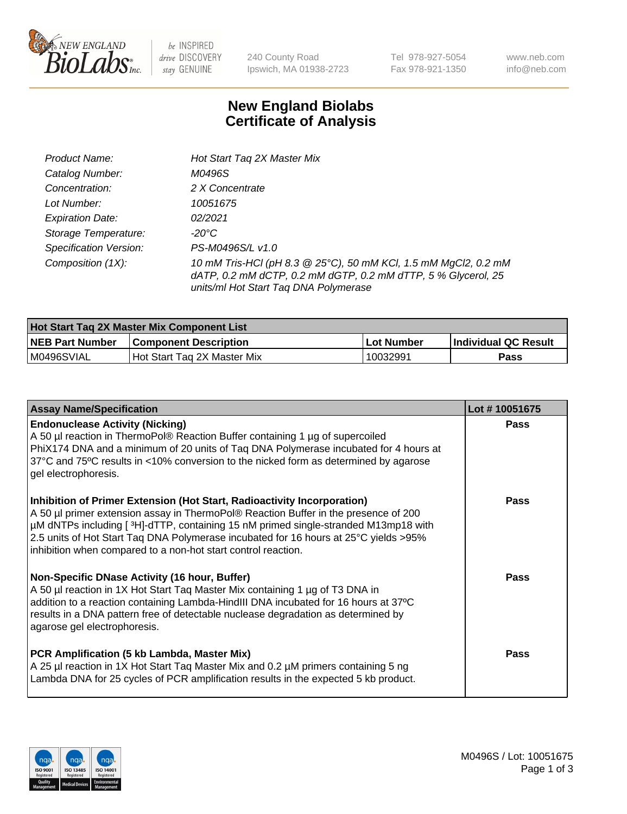

 $be$  INSPIRED drive DISCOVERY stay GENUINE

240 County Road Ipswich, MA 01938-2723 Tel 978-927-5054 Fax 978-921-1350 www.neb.com info@neb.com

## **New England Biolabs Certificate of Analysis**

| Product Name:           | Hot Start Tag 2X Master Mix                                                                                                                                               |
|-------------------------|---------------------------------------------------------------------------------------------------------------------------------------------------------------------------|
| Catalog Number:         | M0496S                                                                                                                                                                    |
| Concentration:          | 2 X Concentrate                                                                                                                                                           |
| Lot Number:             | 10051675                                                                                                                                                                  |
| <b>Expiration Date:</b> | 02/2021                                                                                                                                                                   |
| Storage Temperature:    | -20°C                                                                                                                                                                     |
| Specification Version:  | PS-M0496S/L v1.0                                                                                                                                                          |
| Composition (1X):       | 10 mM Tris-HCl (pH 8.3 @ 25°C), 50 mM KCl, 1.5 mM MgCl2, 0.2 mM<br>dATP, 0.2 mM dCTP, 0.2 mM dGTP, 0.2 mM dTTP, 5 % Glycerol, 25<br>units/ml Hot Start Taq DNA Polymerase |

| <b>Hot Start Tag 2X Master Mix Component List</b> |                               |            |                             |  |  |
|---------------------------------------------------|-------------------------------|------------|-----------------------------|--|--|
| <b>NEB Part Number</b>                            | <b>Component Description</b>  | Lot Number | <b>Individual QC Result</b> |  |  |
| IM0496SVIAL                                       | l Hot Start Tag 2X Master Mix | 10032991   | Pass                        |  |  |

| <b>Assay Name/Specification</b>                                                                                                                                                                                                                                                                                                                                                                                | Lot #10051675 |
|----------------------------------------------------------------------------------------------------------------------------------------------------------------------------------------------------------------------------------------------------------------------------------------------------------------------------------------------------------------------------------------------------------------|---------------|
| <b>Endonuclease Activity (Nicking)</b><br>A 50 µl reaction in ThermoPol® Reaction Buffer containing 1 µg of supercoiled<br>PhiX174 DNA and a minimum of 20 units of Taq DNA Polymerase incubated for 4 hours at<br>37°C and 75°C results in <10% conversion to the nicked form as determined by agarose<br>gel electrophoresis.                                                                                | Pass          |
| Inhibition of Primer Extension (Hot Start, Radioactivity Incorporation)<br>A 50 µl primer extension assay in ThermoPol® Reaction Buffer in the presence of 200<br>µM dNTPs including [3H]-dTTP, containing 15 nM primed single-stranded M13mp18 with<br>2.5 units of Hot Start Taq DNA Polymerase incubated for 16 hours at 25°C yields > 95%<br>inhibition when compared to a non-hot start control reaction. | Pass          |
| Non-Specific DNase Activity (16 hour, Buffer)<br>A 50 µl reaction in 1X Hot Start Tag Master Mix containing 1 µg of T3 DNA in<br>addition to a reaction containing Lambda-HindIII DNA incubated for 16 hours at 37°C<br>results in a DNA pattern free of detectable nuclease degradation as determined by<br>agarose gel electrophoresis.                                                                      | Pass          |
| PCR Amplification (5 kb Lambda, Master Mix)<br>A 25 µl reaction in 1X Hot Start Tag Master Mix and 0.2 µM primers containing 5 ng<br>Lambda DNA for 25 cycles of PCR amplification results in the expected 5 kb product.                                                                                                                                                                                       | Pass          |

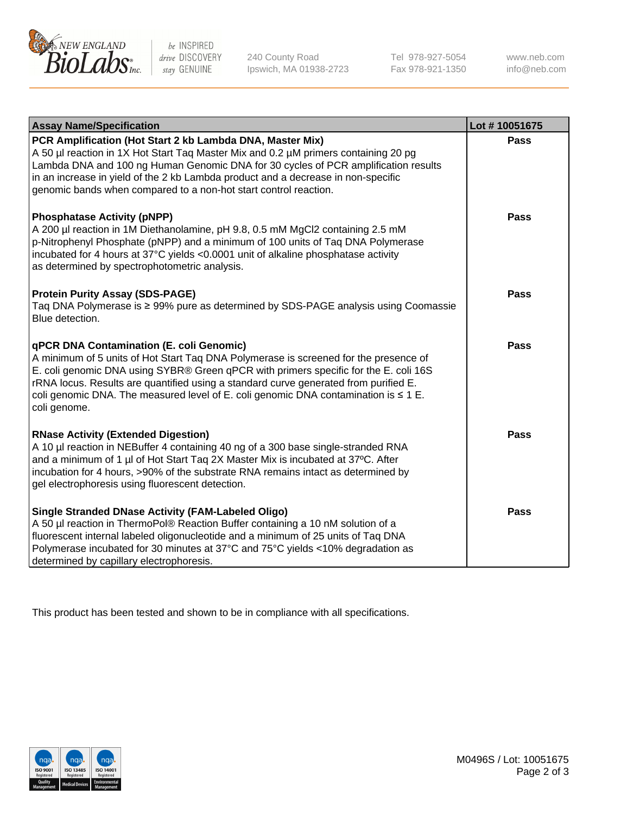

be INSPIRED drive DISCOVERY stay GENUINE

240 County Road Ipswich, MA 01938-2723 Tel 978-927-5054 Fax 978-921-1350 www.neb.com info@neb.com

| <b>Assay Name/Specification</b>                                                                                                                                                                                                                                                                                                                                                                                                     | Lot #10051675 |
|-------------------------------------------------------------------------------------------------------------------------------------------------------------------------------------------------------------------------------------------------------------------------------------------------------------------------------------------------------------------------------------------------------------------------------------|---------------|
| PCR Amplification (Hot Start 2 kb Lambda DNA, Master Mix)<br>A 50 µl reaction in 1X Hot Start Tag Master Mix and 0.2 µM primers containing 20 pg<br>Lambda DNA and 100 ng Human Genomic DNA for 30 cycles of PCR amplification results<br>in an increase in yield of the 2 kb Lambda product and a decrease in non-specific<br>genomic bands when compared to a non-hot start control reaction.                                     | <b>Pass</b>   |
| <b>Phosphatase Activity (pNPP)</b><br>A 200 µl reaction in 1M Diethanolamine, pH 9.8, 0.5 mM MgCl2 containing 2.5 mM<br>p-Nitrophenyl Phosphate (pNPP) and a minimum of 100 units of Taq DNA Polymerase<br>incubated for 4 hours at 37°C yields <0.0001 unit of alkaline phosphatase activity<br>as determined by spectrophotometric analysis.                                                                                      | <b>Pass</b>   |
| <b>Protein Purity Assay (SDS-PAGE)</b><br>Taq DNA Polymerase is ≥ 99% pure as determined by SDS-PAGE analysis using Coomassie<br>Blue detection.                                                                                                                                                                                                                                                                                    | <b>Pass</b>   |
| <b>qPCR DNA Contamination (E. coli Genomic)</b><br>A minimum of 5 units of Hot Start Tag DNA Polymerase is screened for the presence of<br>E. coli genomic DNA using SYBR® Green qPCR with primers specific for the E. coli 16S<br>rRNA locus. Results are quantified using a standard curve generated from purified E.<br>coli genomic DNA. The measured level of E. coli genomic DNA contamination is $\leq 1$ E.<br>coli genome. | <b>Pass</b>   |
| <b>RNase Activity (Extended Digestion)</b><br>A 10 µl reaction in NEBuffer 4 containing 40 ng of a 300 base single-stranded RNA<br>and a minimum of 1 µl of Hot Start Taq 2X Master Mix is incubated at 37°C. After<br>incubation for 4 hours, >90% of the substrate RNA remains intact as determined by<br>gel electrophoresis using fluorescent detection.                                                                        | <b>Pass</b>   |
| <b>Single Stranded DNase Activity (FAM-Labeled Oligo)</b><br>A 50 µl reaction in ThermoPol® Reaction Buffer containing a 10 nM solution of a<br>fluorescent internal labeled oligonucleotide and a minimum of 25 units of Taq DNA<br>Polymerase incubated for 30 minutes at 37°C and 75°C yields <10% degradation as<br>determined by capillary electrophoresis.                                                                    | Pass          |

This product has been tested and shown to be in compliance with all specifications.